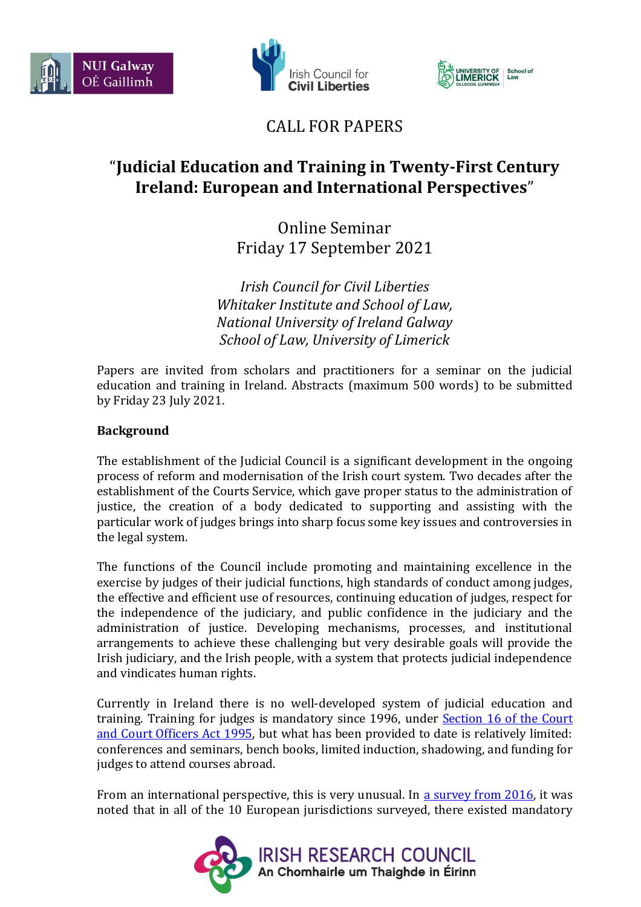





## CALL FOR PAPERS

# "**Judicial Education and Training in Twenty-First Century Ireland: European and International Perspectives**"

Online Seminar Friday 17 September 2021

*Irish Council for Civil Liberties Whitaker Institute and School of Law, National University of Ireland Galway School of Law, University of Limerick*

Papers are invited from scholars and practitioners for a seminar on the judicial education and training in Ireland. Abstracts (maximum 500 words) to be submitted by Friday 23 July 2021.

### **Background**

The establishment of the Judicial Council is a significant development in the ongoing process of reform and modernisation of the Irish court system. Two decades after the establishment of the Courts Service, which gave proper status to the administration of justice, the creation of a body dedicated to supporting and assisting with the particular work of judges brings into sharp focus some key issues and controversies in the legal system.

The functions of the Council include promoting and maintaining excellence in the exercise by judges of their judicial functions, high standards of conduct among judges, the effective and efficient use of resources, continuing education of judges, respect for the independence of the judiciary, and public confidence in the judiciary and the administration of justice. Developing mechanisms, processes, and institutional arrangements to achieve these challenging but very desirable goals will provide the Irish judiciary, and the Irish people, with a system that protects judicial independence and vindicates human rights.

Currently in Ireland there is no well-developed system of judicial education and training. Training for judges is mandatory since 1996, under **Section 16 of the Court** [and Court Officers Act 1995,](http://www.irishstatutebook.ie/eli/1995/act/31/section/16/enacted/en/html) but what has been provided to date is relatively limited: conferences and seminars, bench books, limited induction, shadowing, and funding for judges to attend courses abroad.

From an international perspective, this is very unusual. In [a survey from 2016,](https://ncfsc-web.squiz.cloud/__data/assets/pdf_file/0017/6146/iojtjournal005.pdf) it was noted that in all of the 10 European jurisdictions surveyed, there existed mandatory